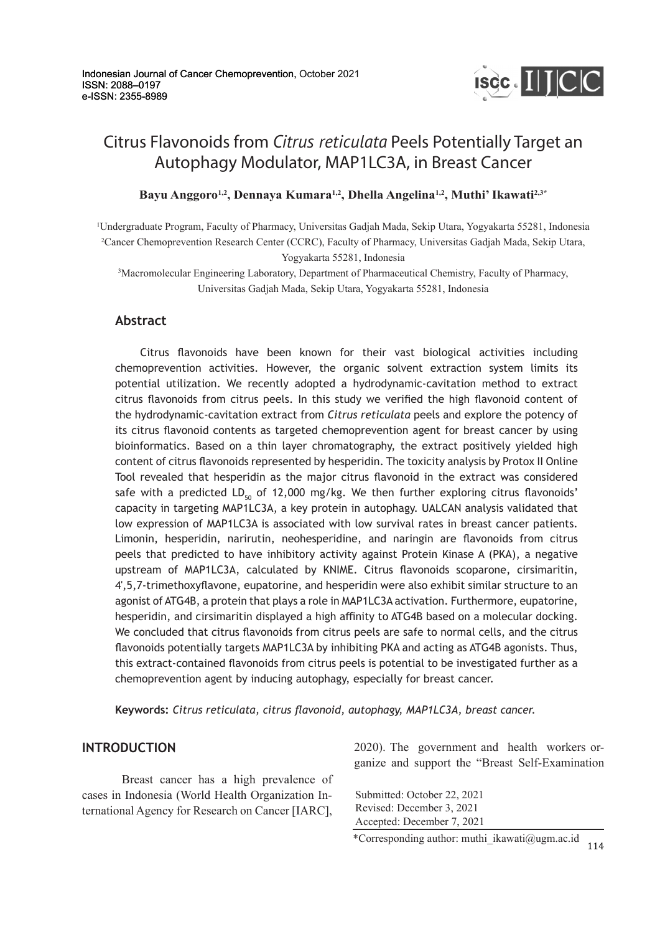

# Citrus Flavonoids from *Citrus reticulata* Peels Potentially Target an Autophagy Modulator, MAP1LC3A, in Breast Cancer

**Bayu Anggoro1,2, Dennaya Kumara1,2, Dhella Angelina1,2, Muthi' Ikawati2,3\***

1 Undergraduate Program, Faculty of Pharmacy, Universitas Gadjah Mada, Sekip Utara, Yogyakarta 55281, Indonesia 2 Cancer Chemoprevention Research Center (CCRC), Faculty of Pharmacy, Universitas Gadjah Mada, Sekip Utara, Yogyakarta 55281, Indonesia

3 Macromolecular Engineering Laboratory, Department of Pharmaceutical Chemistry, Faculty of Pharmacy, Universitas Gadjah Mada, Sekip Utara, Yogyakarta 55281, Indonesia

# **Abstract**

 Citrus flavonoids have been known for their vast biological activities including chemoprevention activities. However, the organic solvent extraction system limits its potential utilization. We recently adopted a hydrodynamic-cavitation method to extract citrus flavonoids from citrus peels. In this study we verified the high flavonoid content of the hydrodynamic-cavitation extract from *Citrus reticulata* peels and explore the potency of its citrus flavonoid contents as targeted chemoprevention agent for breast cancer by using bioinformatics. Based on a thin layer chromatography, the extract positively yielded high content of citrus flavonoids represented by hesperidin. The toxicity analysis by Protox II Online Tool revealed that hesperidin as the major citrus flavonoid in the extract was considered safe with a predicted  $LD_{50}$  of 12,000 mg/kg. We then further exploring citrus flavonoids' capacity in targeting MAP1LC3A, a key protein in autophagy. UALCAN analysis validated that low expression of MAP1LC3A is associated with low survival rates in breast cancer patients. Limonin, hesperidin, narirutin, neohesperidine, and naringin are flavonoids from citrus peels that predicted to have inhibitory activity against Protein Kinase A (PKA), a negative upstream of MAP1LC3A, calculated by KNIME. Citrus flavonoids scoparone, cirsimaritin, 4',5,7-trimethoxyflavone, eupatorine, and hesperidin were also exhibit similar structure to an agonist of ATG4B, a protein that plays a role in MAP1LC3A activation. Furthermore, eupatorine, hesperidin, and cirsimaritin displayed a high affinity to ATG4B based on a molecular docking. We concluded that citrus flavonoids from citrus peels are safe to normal cells, and the citrus flavonoids potentially targets MAP1LC3A by inhibiting PKA and acting as ATG4B agonists. Thus, this extract-contained flavonoids from citrus peels is potential to be investigated further as a chemoprevention agent by inducing autophagy, especially for breast cancer.

**Keywords:** *Citrus reticulata, citrus flavonoid, autophagy, MAP1LC3A, breast cancer.*

## **INTRODUCTION**

Breast cancer has a high prevalence of cases in Indonesia (World Health Organization International Agency for Research on Cancer [IARC],

2020). The government and health workers organize and support the "Breast Self-Examination

Submitted: October 22, 2021 Revised: December 3, 2021 Accepted: December 7, 2021

114 \*Corresponding author: muthi\_ikawati@ugm.ac.id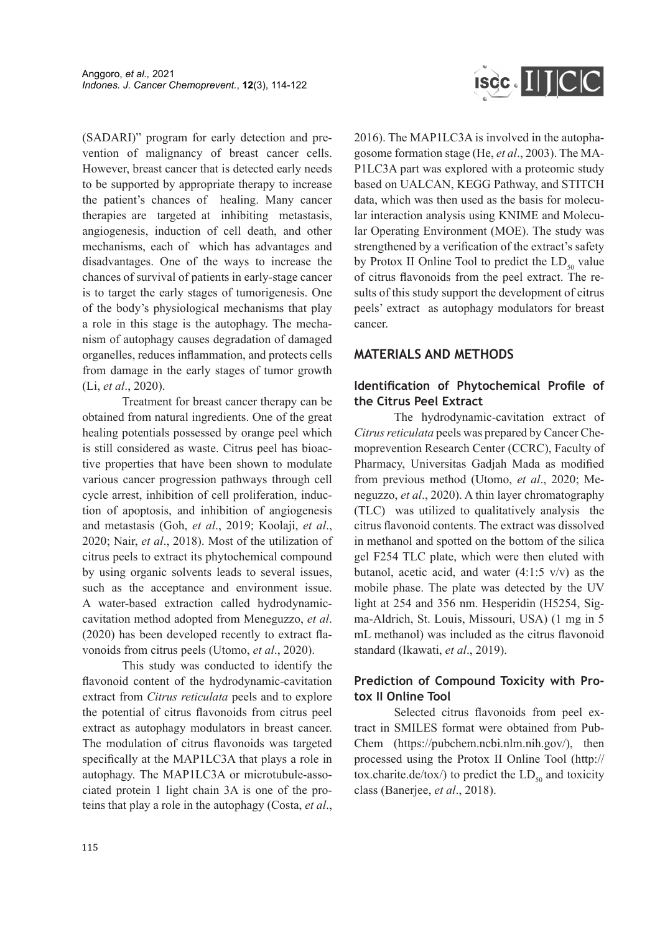(SADARI)" program for early detection and prevention of malignancy of breast cancer cells. However, breast cancer that is detected early needs to be supported by appropriate therapy to increase the patient's chances of healing. Many cancer therapies are targeted at inhibiting metastasis, angiogenesis, induction of cell death, and other mechanisms, each of which has advantages and disadvantages. One of the ways to increase the chances of survival of patients in early-stage cancer is to target the early stages of tumorigenesis. One of the body's physiological mechanisms that play a role in this stage is the autophagy. The mechanism of autophagy causes degradation of damaged organelles, reduces inflammation, and protects cells from damage in the early stages of tumor growth (Li, *et al*., 2020).

Treatment for breast cancer therapy can be obtained from natural ingredients. One of the great healing potentials possessed by orange peel which is still considered as waste. Citrus peel has bioactive properties that have been shown to modulate various cancer progression pathways through cell cycle arrest, inhibition of cell proliferation, induction of apoptosis, and inhibition of angiogenesis and metastasis (Goh, *et al*., 2019; Koolaji, *et al*., 2020; Nair, *et al*., 2018). Most of the utilization of citrus peels to extract its phytochemical compound by using organic solvents leads to several issues, such as the acceptance and environment issue. A water-based extraction called hydrodynamiccavitation method adopted from Meneguzzo, *et al*. (2020) has been developed recently to extract flavonoids from citrus peels (Utomo, *et al*., 2020).

This study was conducted to identify the flavonoid content of the hydrodynamic-cavitation extract from *Citrus reticulata* peels and to explore the potential of citrus flavonoids from citrus peel extract as autophagy modulators in breast cancer. The modulation of citrus flavonoids was targeted specifically at the MAP1LC3A that plays a role in autophagy. The MAP1LC3A or microtubule-associated protein 1 light chain 3A is one of the proteins that play a role in the autophagy (Costa, *et al*.,



2016). The MAP1LC3A is involved in the autophagosome formation stage (He, *et al*., 2003). The MA-P1LC3A part was explored with a proteomic study based on UALCAN, KEGG Pathway, and STITCH data, which was then used as the basis for molecular interaction analysis using KNIME and Molecular Operating Environment (MOE). The study was strengthened by a verification of the extract's safety by Protox II Online Tool to predict the  $LD_{50}$  value of citrus flavonoids from the peel extract. The results of this study support the development of citrus peels' extract as autophagy modulators for breast cancer.

# **MATERIALS AND METHODS**

# **Identification of Phytochemical Profile of the Citrus Peel Extract**

The hydrodynamic-cavitation extract of *Citrus reticulata* peels was prepared by Cancer Chemoprevention Research Center (CCRC), Faculty of Pharmacy, Universitas Gadjah Mada as modified from previous method (Utomo, *et al*., 2020; Meneguzzo, *et al*., 2020). A thin layer chromatography (TLC) was utilized to qualitatively analysis the citrus flavonoid contents. The extract was dissolved in methanol and spotted on the bottom of the silica gel F254 TLC plate, which were then eluted with butanol, acetic acid, and water  $(4:1:5 \text{ v/v})$  as the mobile phase. The plate was detected by the UV light at 254 and 356 nm. Hesperidin (H5254, Sigma-Aldrich, St. Louis, Missouri, USA) (1 mg in 5 mL methanol) was included as the citrus flavonoid standard (Ikawati, *et al*., 2019).

# **Prediction of Compound Toxicity with Protox II Online Tool**

Selected citrus flavonoids from peel extract in SMILES format were obtained from Pub-Chem (https://pubchem.ncbi.nlm.nih.gov/), then processed using the Protox II Online Tool (http:// tox.charite.de/tox/) to predict the  $LD_{50}$  and toxicity class (Banerjee, *et al*., 2018).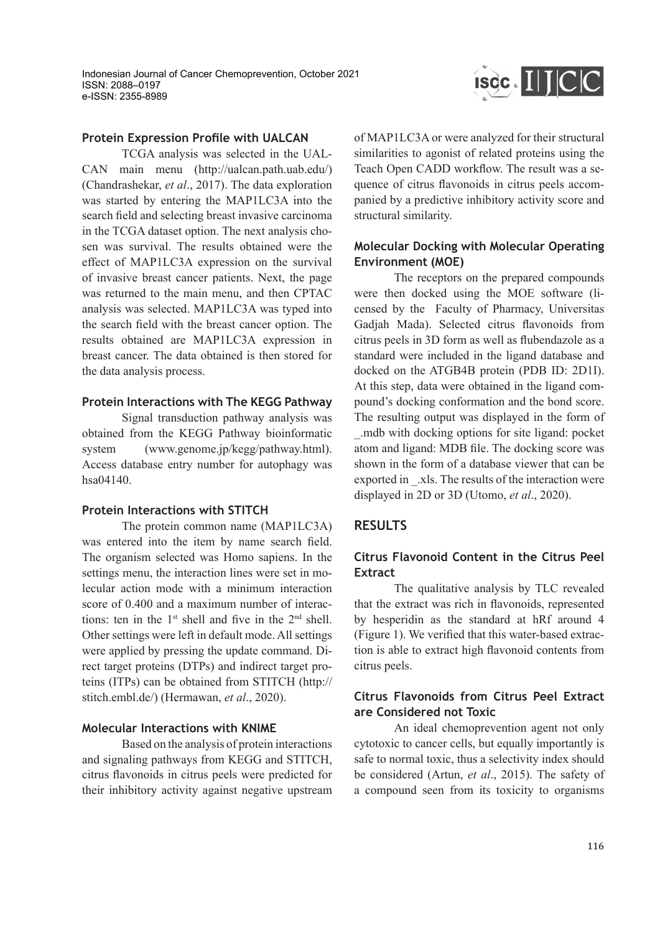

#### **Protein Expression Profile with UALCAN**

TCGA analysis was selected in the UAL-CAN main menu (http://ualcan.path.uab.edu/) (Chandrashekar, *et al*., 2017). The data exploration was started by entering the MAP1LC3A into the search field and selecting breast invasive carcinoma in the TCGA dataset option. The next analysis chosen was survival. The results obtained were the effect of MAP1LC3A expression on the survival of invasive breast cancer patients. Next, the page was returned to the main menu, and then CPTAC analysis was selected. MAP1LC3A was typed into the search field with the breast cancer option. The results obtained are MAP1LC3A expression in breast cancer. The data obtained is then stored for the data analysis process.

#### **Protein Interactions with The KEGG Pathway**

Signal transduction pathway analysis was obtained from the KEGG Pathway bioinformatic system (www.genome.jp/kegg/pathway.html). Access database entry number for autophagy was hsa04140.

#### **Protein Interactions with STITCH**

The protein common name (MAP1LC3A) was entered into the item by name search field. The organism selected was Homo sapiens. In the settings menu, the interaction lines were set in molecular action mode with a minimum interaction score of 0.400 and a maximum number of interactions: ten in the  $1<sup>st</sup>$  shell and five in the  $2<sup>nd</sup>$  shell. Other settings were left in default mode. All settings were applied by pressing the update command. Direct target proteins (DTPs) and indirect target proteins (ITPs) can be obtained from STITCH (http:// stitch.embl.de/) (Hermawan, *et al*., 2020).

#### **Molecular Interactions with KNIME**

Based on the analysis of protein interactions and signaling pathways from KEGG and STITCH, citrus flavonoids in citrus peels were predicted for their inhibitory activity against negative upstream of MAP1LC3A or were analyzed for their structural similarities to agonist of related proteins using the Teach Open CADD workflow. The result was a sequence of citrus flavonoids in citrus peels accompanied by a predictive inhibitory activity score and structural similarity.

#### **Molecular Docking with Molecular Operating Environment (MOE)**

The receptors on the prepared compounds were then docked using the MOE software (licensed by the Faculty of Pharmacy, Universitas Gadjah Mada). Selected citrus flavonoids from citrus peels in 3D form as well as flubendazole as a standard were included in the ligand database and docked on the ATGB4B protein (PDB ID: 2D1I). At this step, data were obtained in the ligand compound's docking conformation and the bond score. The resulting output was displayed in the form of \_.mdb with docking options for site ligand: pocket atom and ligand: MDB file. The docking score was shown in the form of a database viewer that can be exported in \_.xls. The results of the interaction were displayed in 2D or 3D (Utomo, *et al*., 2020).

#### **RESULTS**

## **Citrus Flavonoid Content in the Citrus Peel Extract**

The qualitative analysis by TLC revealed that the extract was rich in flavonoids, represented by hesperidin as the standard at hRf around 4 (Figure 1). We verified that this water-based extraction is able to extract high flavonoid contents from citrus peels.

# **Citrus Flavonoids from Citrus Peel Extract are Considered not Toxic**

An ideal chemoprevention agent not only cytotoxic to cancer cells, but equally importantly is safe to normal toxic, thus a selectivity index should be considered (Artun, *et al*., 2015). The safety of a compound seen from its toxicity to organisms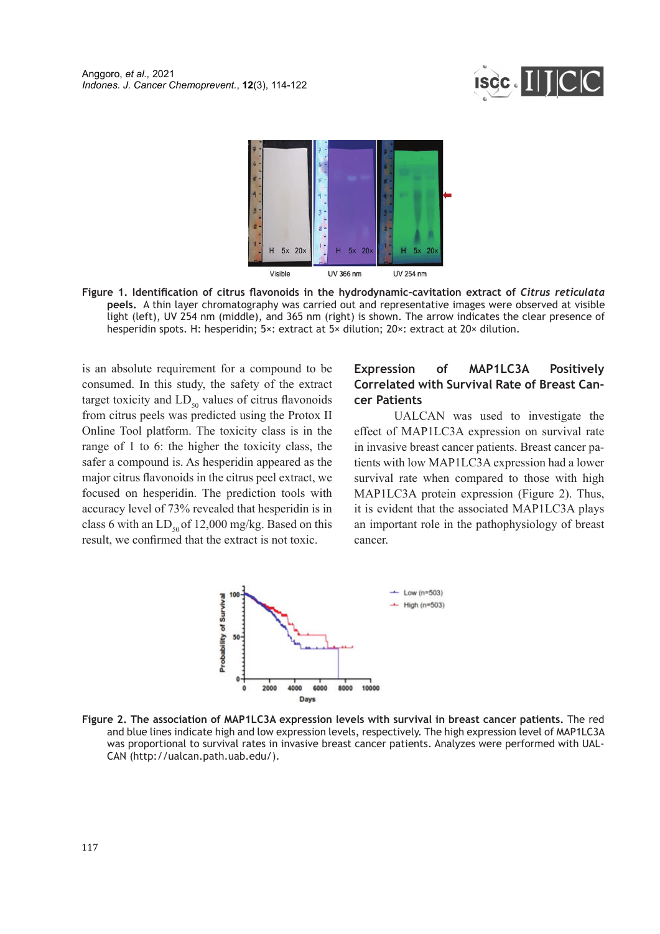



**Figure 1. Identification of citrus flavonoids in the hydrodynamic-cavitation extract of** *Citrus reticulata* **peels.** A thin layer chromatography was carried out and representative images were observed at visible light (left), UV 254 nm (middle), and 365 nm (right) is shown. The arrow indicates the clear presence of hesperidin spots. H: hesperidin; 5×: extract at 5× dilution; 20×: extract at 20× dilution.

is an absolute requirement for a compound to be consumed. In this study, the safety of the extract target toxicity and  $LD_{50}$  values of citrus flavonoids from citrus peels was predicted using the Protox II Online Tool platform. The toxicity class is in the range of 1 to 6: the higher the toxicity class, the safer a compound is. As hesperidin appeared as the major citrus flavonoids in the citrus peel extract, we focused on hesperidin. The prediction tools with accuracy level of 73% revealed that hesperidin is in class 6 with an  $LD_{50}$  of 12,000 mg/kg. Based on this result, we confirmed that the extract is not toxic.

### **Expression of MAP1LC3A Positively Correlated with Survival Rate of Breast Cancer Patients**

UALCAN was used to investigate the effect of MAP1LC3A expression on survival rate in invasive breast cancer patients. Breast cancer patients with low MAP1LC3A expression had a lower survival rate when compared to those with high MAP1LC3A protein expression (Figure 2). Thus, it is evident that the associated MAP1LC3A plays an important role in the pathophysiology of breast cancer.



**Figure 2. The association of MAP1LC3A expression levels with survival in breast cancer patients.** The red and blue lines indicate high and low expression levels, respectively. The high expression level of MAP1LC3A was proportional to survival rates in invasive breast cancer patients. Analyzes were performed with UAL-CAN (http://ualcan.path.uab.edu/).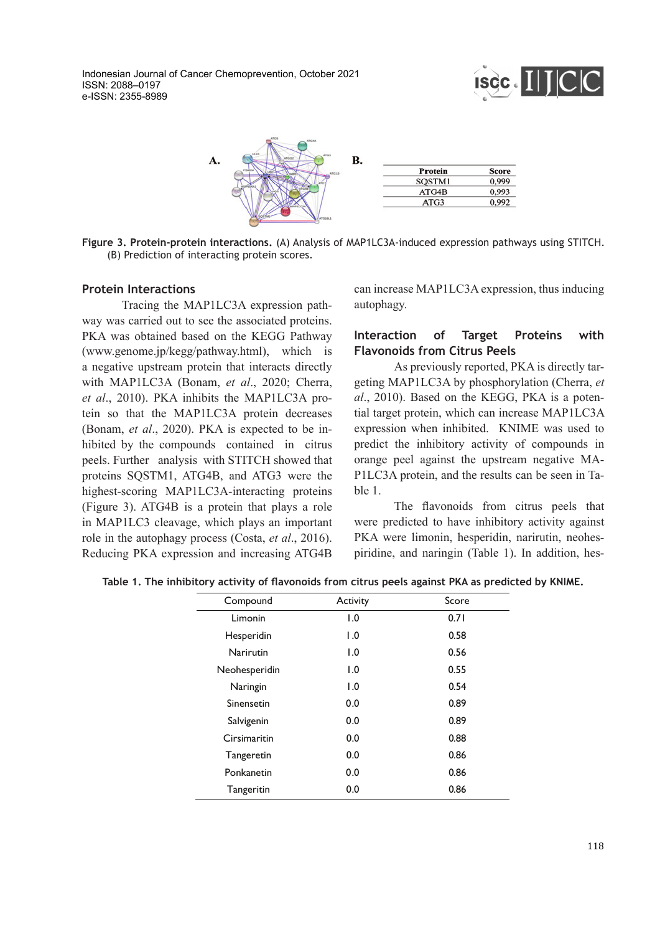



**Figure 3. Protein-protein interactions.** (A) Analysis of MAP1LC3A-induced expression pathways using STITCH. (B) Prediction of interacting protein scores.

#### **Protein Interactions**

Tracing the MAP1LC3A expression pathway was carried out to see the associated proteins. PKA was obtained based on the KEGG Pathway (www.genome.jp/kegg/pathway.html), which is a negative upstream protein that interacts directly with MAP1LC3A (Bonam, *et al*., 2020; Cherra, *et al*., 2010). PKA inhibits the MAP1LC3A protein so that the MAP1LC3A protein decreases (Bonam, *et al*., 2020). PKA is expected to be inhibited by the compounds contained in citrus peels. Further analysis with STITCH showed that proteins SQSTM1, ATG4B, and ATG3 were the highest-scoring MAP1LC3A-interacting proteins (Figure 3). ATG4B is a protein that plays a role in MAP1LC3 cleavage, which plays an important role in the autophagy process (Costa, *et al*., 2016). Reducing PKA expression and increasing ATG4B can increase MAP1LC3A expression, thus inducing autophagy.

## **Interaction of Target Proteins with Flavonoids from Citrus Peels**

As previously reported, PKA is directly targeting MAP1LC3A by phosphorylation (Cherra, *et al*., 2010). Based on the KEGG, PKA is a potential target protein, which can increase MAP1LC3A expression when inhibited. KNIME was used to predict the inhibitory activity of compounds in orange peel against the upstream negative MA-P1LC3A protein, and the results can be seen in Table 1.

The flavonoids from citrus peels that were predicted to have inhibitory activity against PKA were limonin, hesperidin, narirutin, neohespiridine, and naringin (Table 1). In addition, hes-

| Compound      | Activity         | Score |
|---------------|------------------|-------|
| Limonin       | 1.0              | 0.71  |
| Hesperidin    | $\overline{0}$ . | 0.58  |
| Narirutin     | 1.0              | 0.56  |
| Neohesperidin | 1.0              | 0.55  |
| Naringin      | $\overline{1.0}$ | 0.54  |
| Sinensetin    | 0.0              | 0.89  |
| Salvigenin    | 0.0              | 0.89  |
| Cirsimaritin  | 0.0              | 0.88  |
| Tangeretin    | 0.0              | 0.86  |
| Ponkanetin    | 0.0              | 0.86  |
| Tangeritin    | 0.0              | 0.86  |

**Table 1. The inhibitory activity of flavonoids from citrus peels against PKA as predicted by KNIME.**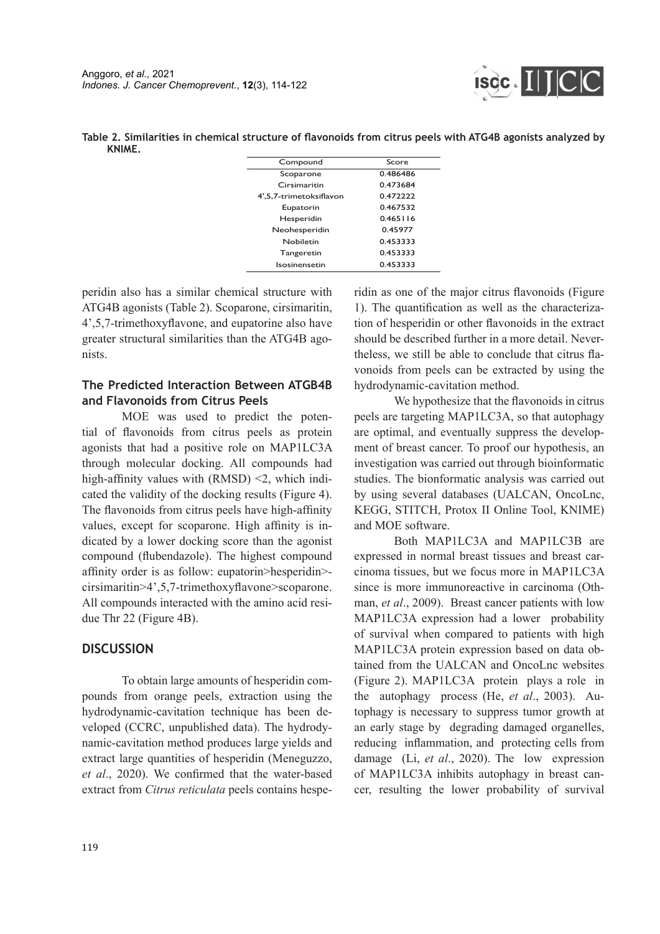

|        | Table 2. Similarities in chemical structure of flavonoids from citrus peels with ATG4B agonists analyzed by |  |  |  |
|--------|-------------------------------------------------------------------------------------------------------------|--|--|--|
| KNIME. |                                                                                                             |  |  |  |

| Compound                | Score    |  |  |
|-------------------------|----------|--|--|
| Scoparone               | 0.486486 |  |  |
| Cirsimaritin            | 0473684  |  |  |
| 4',5,7-trimetoksiflavon | 0.472222 |  |  |
| Eupatorin               | 0.467532 |  |  |
| Hesperidin              | 0.465116 |  |  |
| Neohesperidin           | 0.45977  |  |  |
| Nobiletin               | 0.453333 |  |  |
| Tangeretin              | 0.453333 |  |  |
| Isosinensetin           | 0.453333 |  |  |

peridin also has a similar chemical structure with ATG4B agonists (Table 2). Scoparone, cirsimaritin, 4',5,7-trimethoxyflavone, and eupatorine also have greater structural similarities than the ATG4B agonists.

# **The Predicted Interaction Between ATGB4B and Flavonoids from Citrus Peels**

MOE was used to predict the potential of flavonoids from citrus peels as protein agonists that had a positive role on MAP1LC3A through molecular docking. All compounds had high-affinity values with (RMSD) <2, which indicated the validity of the docking results (Figure 4). The flavonoids from citrus peels have high-affinity values, except for scoparone. High affinity is indicated by a lower docking score than the agonist compound (flubendazole). The highest compound affinity order is as follow: eupatorin>hesperidin> cirsimaritin>4',5,7-trimethoxyflavone>scoparone. All compounds interacted with the amino acid residue Thr 22 (Figure 4B).

# **DISCUSSION**

To obtain large amounts of hesperidin compounds from orange peels, extraction using the hydrodynamic-cavitation technique has been developed (CCRC, unpublished data). The hydrodynamic-cavitation method produces large yields and extract large quantities of hesperidin (Meneguzzo, *et al*., 2020). We confirmed that the water-based extract from *Citrus reticulata* peels contains hesperidin as one of the major citrus flavonoids (Figure 1). The quantification as well as the characterization of hesperidin or other flavonoids in the extract should be described further in a more detail. Nevertheless, we still be able to conclude that citrus flavonoids from peels can be extracted by using the hydrodynamic-cavitation method.

We hypothesize that the flavonoids in citrus peels are targeting MAP1LC3A, so that autophagy are optimal, and eventually suppress the development of breast cancer. To proof our hypothesis, an investigation was carried out through bioinformatic studies. The bionformatic analysis was carried out by using several databases (UALCAN, OncoLnc, KEGG, STITCH, Protox II Online Tool, KNIME) and MOE software.

Both MAP1LC3A and MAP1LC3B are expressed in normal breast tissues and breast carcinoma tissues, but we focus more in MAP1LC3A since is more immunoreactive in carcinoma (Othman, *et al*., 2009). Breast cancer patients with low MAP1LC3A expression had a lower probability of survival when compared to patients with high MAP1LC3A protein expression based on data obtained from the UALCAN and OncoLnc websites (Figure 2). MAP1LC3A protein plays a role in the autophagy process (He, *et al*., 2003). Autophagy is necessary to suppress tumor growth at an early stage by degrading damaged organelles, reducing inflammation, and protecting cells from damage (Li, *et al*., 2020). The low expression of MAP1LC3A inhibits autophagy in breast cancer, resulting the lower probability of survival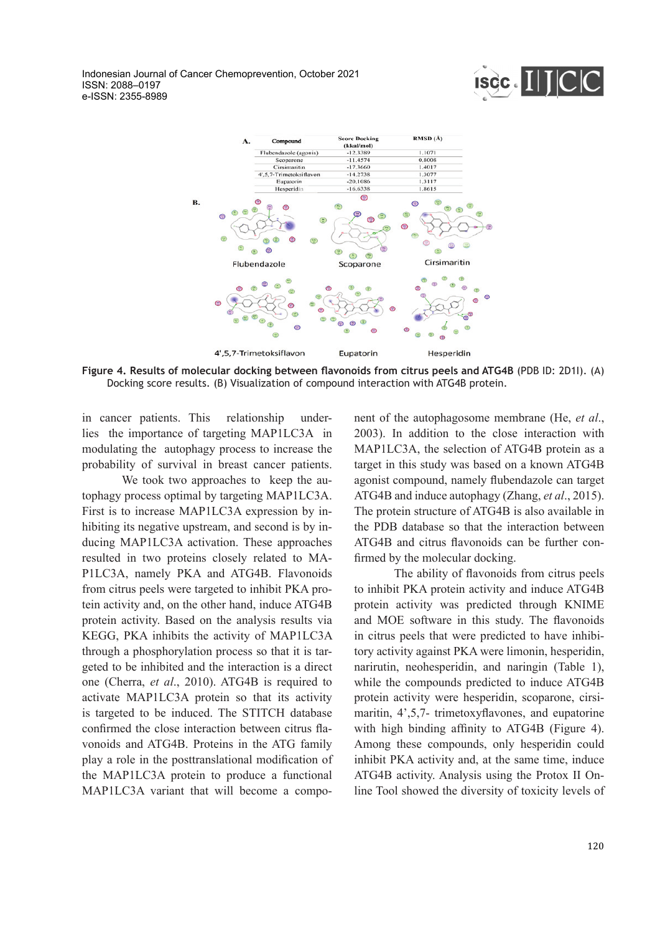



**Figure 4. Results of molecular docking between flavonoids from citrus peels and ATG4B** (PDB ID: 2D1I). (A) Docking score results. (B) Visualization of compound interaction with ATG4B protein.

in cancer patients. This relationship underlies the importance of targeting MAP1LC3A in modulating the autophagy process to increase the probability of survival in breast cancer patients.

We took two approaches to keep the autophagy process optimal by targeting MAP1LC3A. First is to increase MAP1LC3A expression by inhibiting its negative upstream, and second is by inducing MAP1LC3A activation. These approaches resulted in two proteins closely related to MA-P1LC3A, namely PKA and ATG4B. Flavonoids from citrus peels were targeted to inhibit PKA protein activity and, on the other hand, induce ATG4B protein activity. Based on the analysis results via KEGG, PKA inhibits the activity of MAP1LC3A through a phosphorylation process so that it is targeted to be inhibited and the interaction is a direct one (Cherra, *et al*., 2010). ATG4B is required to activate MAP1LC3A protein so that its activity is targeted to be induced. The STITCH database confirmed the close interaction between citrus flavonoids and ATG4B. Proteins in the ATG family play a role in the posttranslational modification of the MAP1LC3A protein to produce a functional MAP1LC3A variant that will become a component of the autophagosome membrane (He, *et al*., 2003). In addition to the close interaction with MAP1LC3A, the selection of ATG4B protein as a target in this study was based on a known ATG4B agonist compound, namely flubendazole can target ATG4B and induce autophagy (Zhang, *et al*., 2015). The protein structure of ATG4B is also available in the PDB database so that the interaction between ATG4B and citrus flavonoids can be further confirmed by the molecular docking.

The ability of flavonoids from citrus peels to inhibit PKA protein activity and induce ATG4B protein activity was predicted through KNIME and MOE software in this study. The flavonoids in citrus peels that were predicted to have inhibitory activity against PKA were limonin, hesperidin, narirutin, neohesperidin, and naringin (Table 1), while the compounds predicted to induce ATG4B protein activity were hesperidin, scoparone, cirsimaritin, 4',5,7- trimetoxyflavones, and eupatorine with high binding affinity to ATG4B (Figure 4). Among these compounds, only hesperidin could inhibit PKA activity and, at the same time, induce ATG4B activity. Analysis using the Protox II Online Tool showed the diversity of toxicity levels of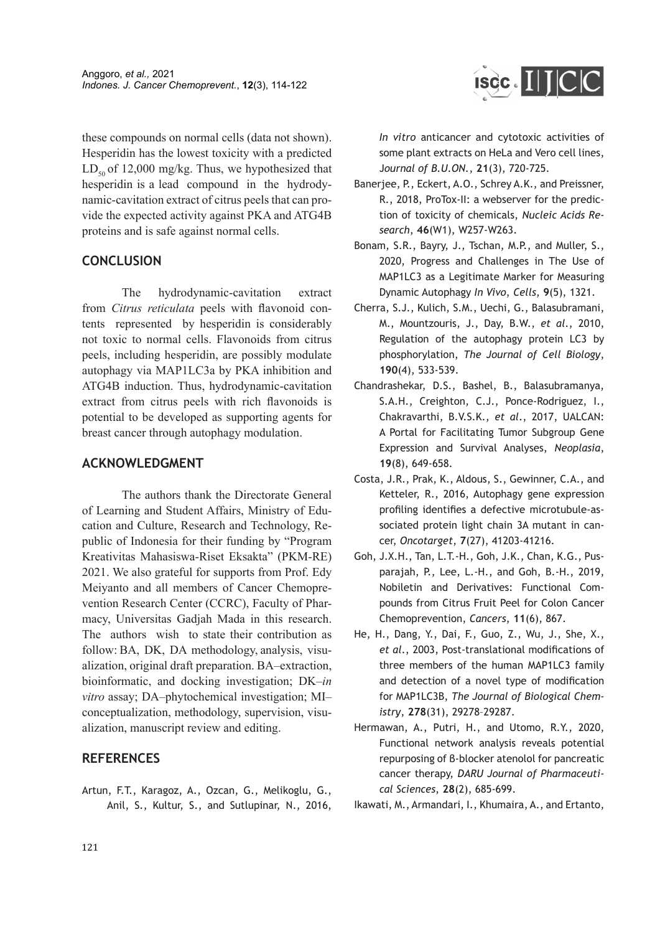these compounds on normal cells (data not shown). Hesperidin has the lowest toxicity with a predicted  $LD<sub>50</sub>$  of 12,000 mg/kg. Thus, we hypothesized that hesperidin is a lead compound in the hydrodynamic-cavitation extract of citrus peels that can provide the expected activity against PKA and ATG4B proteins and is safe against normal cells.

## **CONCLUSION**

The hydrodynamic-cavitation extract from *Citrus reticulata* peels with flavonoid contents represented by hesperidin is considerably not toxic to normal cells. Flavonoids from citrus peels, including hesperidin, are possibly modulate autophagy via MAP1LC3a by PKA inhibition and ATG4B induction. Thus, hydrodynamic-cavitation extract from citrus peels with rich flavonoids is potential to be developed as supporting agents for breast cancer through autophagy modulation.

## **ACKNOWLEDGMENT**

The authors thank the Directorate General of Learning and Student Affairs, Ministry of Education and Culture, Research and Technology, Republic of Indonesia for their funding by "Program Kreativitas Mahasiswa-Riset Eksakta" (PKM-RE) 2021. We also grateful for supports from Prof. Edy Meiyanto and all members of Cancer Chemoprevention Research Center (CCRC), Faculty of Pharmacy, Universitas Gadjah Mada in this research. The authors wish to state their contribution as follow: BA, DK, DA methodology, analysis, visualization, original draft preparation. BA–extraction, bioinformatic, and docking investigation; DK–*in vitro* assay; DA–phytochemical investigation; MI– conceptualization, methodology, supervision, visualization, manuscript review and editing.

## **REFERENCES**

Artun, F.T., Karagoz, A., Ozcan, G., Melikoglu, G., Anil, S., Kultur, S., and Sutlupinar, N., 2016,



*In vitro* anticancer and cytotoxic activities of some plant extracts on HeLa and Vero cell lines, J*ournal of B.U.ON.*, **21**(3), 720-725.

- Banerjee, P., Eckert, A.O., Schrey A.K., and Preissner, R., 2018, ProTox-II: a webserver for the prediction of toxicity of chemicals, *Nucleic Acids Research*, **46**(W1), W257-W263.
- Bonam, S.R., Bayry, J., Tschan, M.P., and Muller, S., 2020, Progress and Challenges in The Use of MAP1LC3 as a Legitimate Marker for Measuring Dynamic Autophagy *In Vivo*, *Cells*, **9**(5), 1321.
- Cherra, S.J., Kulich, S.M., Uechi, G., Balasubramani, M., Mountzouris, J., Day, B.W., *et al*., 2010, Regulation of the autophagy protein LC3 by phosphorylation, *The Journal of Cell Biology*, **190**(4), 533-539.
- Chandrashekar, D.S., Bashel, B., Balasubramanya, S.A.H., Creighton, C.J., Ponce-Rodriguez, I., Chakravarthi, B.V.S.K., *et al*., 2017, UALCAN: A Portal for Facilitating Tumor Subgroup Gene Expression and Survival Analyses, *Neoplasia*, **19**(8), 649-658.
- Costa, J.R., Prak, K., Aldous, S., Gewinner, C.A., and Ketteler, R., 2016, Autophagy gene expression profiling identifies a defective microtubule-associated protein light chain 3A mutant in cancer, *Oncotarget*, **7**(27), 41203-41216.
- Goh, J.X.H., Tan, L.T.-H., Goh, J.K., Chan, K.G., Pusparajah, P., Lee, L.-H., and Goh, B.-H., 2019, Nobiletin and Derivatives: Functional Compounds from Citrus Fruit Peel for Colon Cancer Chemoprevention, *Cancers*, **11**(6), 867.
- He, H., Dang, Y., Dai, F., Guo, Z., Wu, J., She, X., *et al*., 2003, Post-translational modifications of three members of the human MAP1LC3 family and detection of a novel type of modification for MAP1LC3B, *The Journal of Biological Chemistry*, **278**(31), 29278–29287.
- Hermawan, A., Putri, H., and Utomo, R.Y., 2020, Functional network analysis reveals potential repurposing of β-blocker atenolol for pancreatic cancer therapy, *DARU Journal of Pharmaceutical Sciences*, **28**(2), 685-699.
- Ikawati, M., Armandari, I., Khumaira, A., and Ertanto,